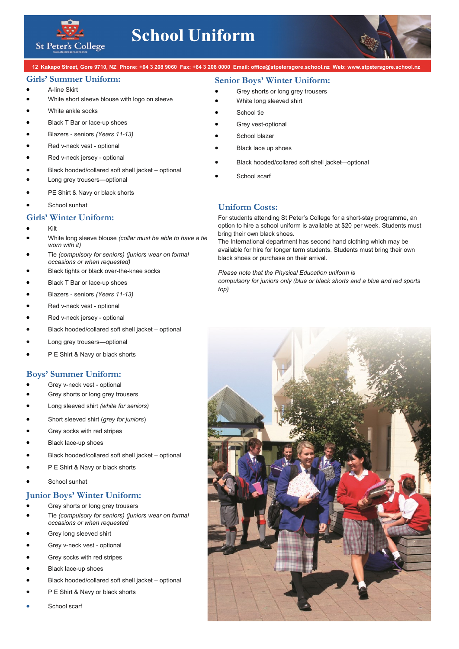

# **School Uniform**

12 Kakapo Street, Gore 9710, NZ Phone: +64 3 208 9060 Fax: +64 3 208 0000 Email: office@stpetersgore.school.nz Web: www.stpetersgore.school.nz

#### **Girls' Summer Uniform:**

#### • A-line Skirt

- White short sleeve blouse with logo on sleeve
- White ankle socks
- Black T Bar or lace-up shoes
- Blazers seniors *(Years 11-13)*
- Red v-neck vest optional
- Red v-neck jersey optional
- Black hooded/collared soft shell jacket optional
- Long grey trousers-optional
- PE Shirt & Navy or black shorts
- School sunhat

#### **Girls' Winter Uniform:**

- Kilt
- White long sleeve blouse *(collar must be able to have a tie worn with it)*
- Tie *(compulsory for seniors) (juniors wear on formal occasions or when requested)*
- Black tights or black over-the-knee socks
- Black T Bar or lace-up shoes
- Blazers seniors *(Years 11-13)*
- Red v-neck vest optional
- Red v-neck jersey optional
- Black hooded/collared soft shell jacket optional
- Long grey trousers-optional
- P E Shirt & Navy or black shorts

### **Boys' Summer Uniform:**

- Grey v-neck vest optional
- Grey shorts or long grey trousers
- Long sleeved shirt *(white for seniors)*
- Short sleeved shirt (*grey for juniors*)
- Grey socks with red stripes
- Black lace-up shoes
- Black hooded/collared soft shell jacket optional
- P E Shirt & Navy or black shorts
- School sunhat

### **Junior Boys' Winter Uniform:**

- Grey shorts or long grey trousers
- Tie *(compulsory for seniors) (juniors wear on formal occasions or when requested*
- Grey long sleeved shirt
- Grey v-neck vest optional
- Grey socks with red stripes
- Black lace-up shoes
- Black hooded/collared soft shell jacket optional
- P E Shirt & Navy or black shorts
- School scarf

## **Senior Boys' Winter Uniform:**

- Grey shorts or long grey trousers
- White long sleeved shirt
- School tie
- Grey vest-optional
- School blazer
- Black lace up shoes
- Black hooded/collared soft shell jacket—optional
- School scarf

#### **Uniform Costs:**

For students attending St Peter's College for a short-stay programme, an option to hire a school uniform is available at \$20 per week. Students must bring their own black shoes.

The International department has second hand clothing which may be available for hire for longer term students. Students must bring their own black shoes or purchase on their arrival.

*Please note that the Physical Education uniform is compulsory for juniors only (blue or black shorts and a blue and red sports top)*